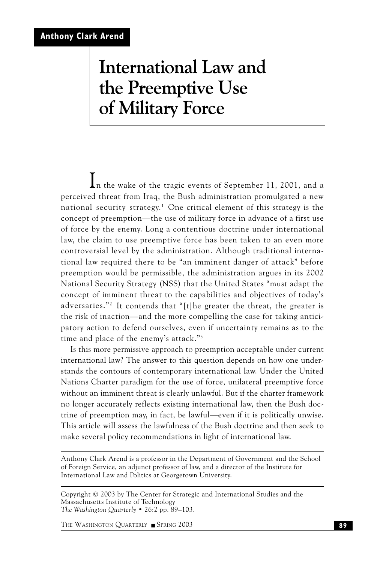# **International Law and the Preemptive Use of Military Force**

In the wake of the tragic events of September 11, 2001, and a perceived threat from Iraq, the Bush administration promulgated a new national security strategy.<sup>1</sup> One critical element of this strategy is the concept of preemption—the use of military force in advance of a first use of force by the enemy. Long a contentious doctrine under international law, the claim to use preemptive force has been taken to an even more controversial level by the administration. Although traditional international law required there to be "an imminent danger of attack" before preemption would be permissible, the administration argues in its 2002 National Security Strategy (NSS) that the United States "must adapt the concept of imminent threat to the capabilities and objectives of today's adversaries."<sup>2</sup> It contends that "[t]he greater the threat, the greater is the risk of inaction—and the more compelling the case for taking anticipatory action to defend ourselves, even if uncertainty remains as to the time and place of the enemy's attack."3

Is this more permissive approach to preemption acceptable under current international law? The answer to this question depends on how one understands the contours of contemporary international law. Under the United Nations Charter paradigm for the use of force, unilateral preemptive force without an imminent threat is clearly unlawful. But if the charter framework no longer accurately reflects existing international law, then the Bush doctrine of preemption may, in fact, be lawful—even if it is politically unwise. This article will assess the lawfulness of the Bush doctrine and then seek to make several policy recommendations in light of international law.

Anthony Clark Arend is a professor in the Department of Government and the School of Foreign Service, an adjunct professor of law, and a director of the Institute for International Law and Politics at Georgetown University.

Copyright © 2003 by The Center for Strategic and International Studies and the Massachusetts Institute of Technology *The Washington Quarterly* • 26:2 pp. 89–103.

THE WASHINGTON QUARTERLY ■ SPRING 2003 **89**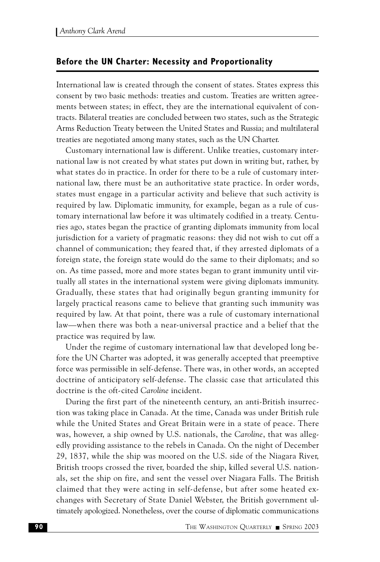#### **Before the UN Charter: Necessity and Proportionality**

International law is created through the consent of states. States express this consent by two basic methods: treaties and custom. Treaties are written agreements between states; in effect, they are the international equivalent of contracts. Bilateral treaties are concluded between two states, such as the Strategic Arms Reduction Treaty between the United States and Russia; and multilateral treaties are negotiated among many states, such as the UN Charter.

Customary international law is different. Unlike treaties, customary international law is not created by what states put down in writing but, rather, by what states do in practice. In order for there to be a rule of customary international law, there must be an authoritative state practice. In order words, states must engage in a particular activity and believe that such activity is required by law. Diplomatic immunity, for example, began as a rule of customary international law before it was ultimately codified in a treaty. Centuries ago, states began the practice of granting diplomats immunity from local jurisdiction for a variety of pragmatic reasons: they did not wish to cut off a channel of communication; they feared that, if they arrested diplomats of a foreign state, the foreign state would do the same to their diplomats; and so on. As time passed, more and more states began to grant immunity until virtually all states in the international system were giving diplomats immunity. Gradually, these states that had originally begun granting immunity for largely practical reasons came to believe that granting such immunity was required by law. At that point, there was a rule of customary international law—when there was both a near-universal practice and a belief that the practice was required by law.

Under the regime of customary international law that developed long before the UN Charter was adopted, it was generally accepted that preemptive force was permissible in self-defense. There was, in other words, an accepted doctrine of anticipatory self-defense. The classic case that articulated this doctrine is the oft-cited *Caroline* incident.

During the first part of the nineteenth century, an anti-British insurrection was taking place in Canada. At the time, Canada was under British rule while the United States and Great Britain were in a state of peace. There was, however, a ship owned by U.S. nationals, the *Caroline*, that was allegedly providing assistance to the rebels in Canada. On the night of December 29, 1837, while the ship was moored on the U.S. side of the Niagara River, British troops crossed the river, boarded the ship, killed several U.S. nationals, set the ship on fire, and sent the vessel over Niagara Falls. The British claimed that they were acting in self-defense, but after some heated exchanges with Secretary of State Daniel Webster, the British government ultimately apologized. Nonetheless, over the course of diplomatic communications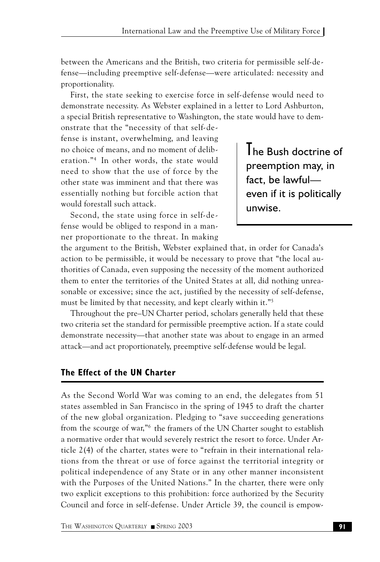between the Americans and the British, two criteria for permissible self-defense—including preemptive self-defense—were articulated: necessity and proportionality.

First, the state seeking to exercise force in self-defense would need to demonstrate necessity. As Webster explained in a letter to Lord Ashburton, a special British representative to Washington, the state would have to dem-

onstrate that the "necessity of that self-defense is instant, overwhelming, and leaving no choice of means, and no moment of deliberation."4 In other words, the state would need to show that the use of force by the other state was imminent and that there was essentially nothing but forcible action that would forestall such attack.

The Bush doctrine of preemption may, in fact, be lawful even if it is politically unwise.

Second, the state using force in self-defense would be obliged to respond in a manner proportionate to the threat. In making

the argument to the British, Webster explained that, in order for Canada's action to be permissible, it would be necessary to prove that "the local authorities of Canada, even supposing the necessity of the moment authorized them to enter the territories of the United States at all, did nothing unreasonable or excessive; since the act, justified by the necessity of self-defense, must be limited by that necessity, and kept clearly within it."5

Throughout the pre–UN Charter period, scholars generally held that these two criteria set the standard for permissible preemptive action. If a state could demonstrate necessity—that another state was about to engage in an armed attack—and act proportionately, preemptive self-defense would be legal.

# **The Effect of the UN Charter**

As the Second World War was coming to an end, the delegates from 51 states assembled in San Francisco in the spring of 1945 to draft the charter of the new global organization. Pledging to "save succeeding generations from the scourge of war,"6 the framers of the UN Charter sought to establish a normative order that would severely restrict the resort to force. Under Article 2(4) of the charter, states were to "refrain in their international relations from the threat or use of force against the territorial integrity or political independence of any State or in any other manner inconsistent with the Purposes of the United Nations." In the charter, there were only two explicit exceptions to this prohibition: force authorized by the Security Council and force in self-defense. Under Article 39, the council is empow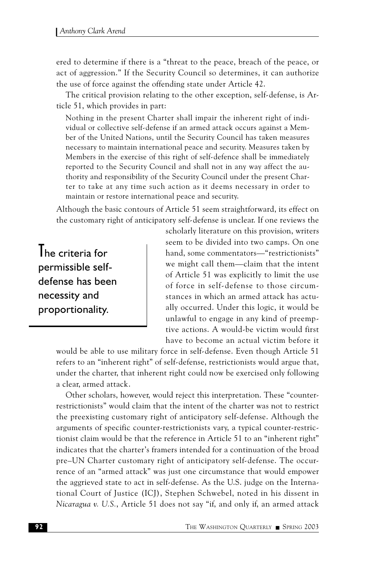ered to determine if there is a "threat to the peace, breach of the peace, or act of aggression." If the Security Council so determines, it can authorize the use of force against the offending state under Article 42.

The critical provision relating to the other exception, self-defense, is Article 51, which provides in part:

Nothing in the present Charter shall impair the inherent right of individual or collective self-defense if an armed attack occurs against a Member of the United Nations, until the Security Council has taken measures necessary to maintain international peace and security. Measures taken by Members in the exercise of this right of self-defence shall be immediately reported to the Security Council and shall not in any way affect the authority and responsibility of the Security Council under the present Charter to take at any time such action as it deems necessary in order to maintain or restore international peace and security.

Although the basic contours of Article 51 seem straightforward, its effect on the customary right of anticipatory self-defense is unclear. If one reviews the

The criteria for permissible selfdefense has been necessity and proportionality.

scholarly literature on this provision, writers seem to be divided into two camps. On one hand, some commentators—"restrictionists" we might call them—claim that the intent of Article 51 was explicitly to limit the use of force in self-defense to those circumstances in which an armed attack has actually occurred. Under this logic, it would be unlawful to engage in any kind of preemptive actions. A would-be victim would first have to become an actual victim before it

would be able to use military force in self-defense. Even though Article 51 refers to an "inherent right" of self-defense, restrictionists would argue that, under the charter, that inherent right could now be exercised only following a clear, armed attack.

Other scholars, however, would reject this interpretation. These "counterrestrictionists" would claim that the intent of the charter was not to restrict the preexisting customary right of anticipatory self-defense. Although the arguments of specific counter-restrictionists vary, a typical counter-restrictionist claim would be that the reference in Article 51 to an "inherent right" indicates that the charter's framers intended for a continuation of the broad pre–UN Charter customary right of anticipatory self-defense. The occurrence of an "armed attack" was just one circumstance that would empower the aggrieved state to act in self-defense. As the U.S. judge on the International Court of Justice (ICJ), Stephen Schwebel, noted in his dissent in *Nicaragua v. U.S.*, Article 51 does not say "if, and only if, an armed attack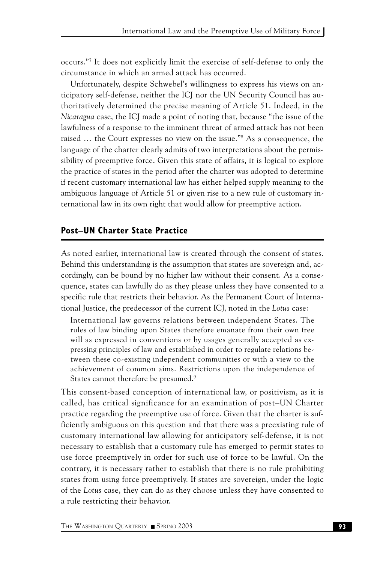occurs."7 It does not explicitly limit the exercise of self-defense to only the circumstance in which an armed attack has occurred.

Unfortunately, despite Schwebel's willingness to express his views on anticipatory self-defense, neither the ICJ nor the UN Security Council has authoritatively determined the precise meaning of Article 51. Indeed, in the *Nicaragua* case, the ICJ made a point of noting that, because "the issue of the lawfulness of a response to the imminent threat of armed attack has not been raised … the Court expresses no view on the issue."8 As a consequence, the language of the charter clearly admits of two interpretations about the permissibility of preemptive force. Given this state of affairs, it is logical to explore the practice of states in the period after the charter was adopted to determine if recent customary international law has either helped supply meaning to the ambiguous language of Article 51 or given rise to a new rule of customary international law in its own right that would allow for preemptive action.

# **Post–UN Charter State Practice**

As noted earlier, international law is created through the consent of states. Behind this understanding is the assumption that states are sovereign and, accordingly, can be bound by no higher law without their consent. As a consequence, states can lawfully do as they please unless they have consented to a specific rule that restricts their behavior. As the Permanent Court of International Justice, the predecessor of the current ICJ, noted in the *Lotus* case:

International law governs relations between independent States. The rules of law binding upon States therefore emanate from their own free will as expressed in conventions or by usages generally accepted as expressing principles of law and established in order to regulate relations between these co-existing independent communities or with a view to the achievement of common aims. Restrictions upon the independence of States cannot therefore be presumed.<sup>9</sup>

This consent-based conception of international law, or positivism, as it is called, has critical significance for an examination of post–UN Charter practice regarding the preemptive use of force. Given that the charter is sufficiently ambiguous on this question and that there was a preexisting rule of customary international law allowing for anticipatory self-defense, it is not necessary to establish that a customary rule has emerged to permit states to use force preemptively in order for such use of force to be lawful. On the contrary, it is necessary rather to establish that there is no rule prohibiting states from using force preemptively. If states are sovereign, under the logic of the *Lotus* case, they can do as they choose unless they have consented to a rule restricting their behavior.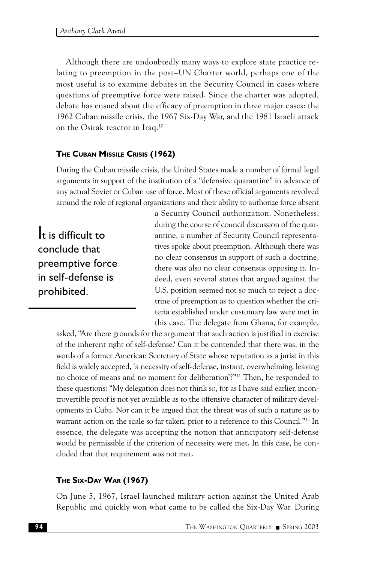Although there are undoubtedly many ways to explore state practice relating to preemption in the post–UN Charter world, perhaps one of the most useful is to examine debates in the Security Council in cases where questions of preemptive force were raised. Since the charter was adopted, debate has ensued about the efficacy of preemption in three major cases: the 1962 Cuban missile crisis, the 1967 Six-Day War, and the 1981 Israeli attack on the Osirak reactor in Iraq.10

## **THE CUBAN MISSILE CRISIS (1962)**

During the Cuban missile crisis, the United States made a number of formal legal arguments in support of the institution of a "defensive quarantine" in advance of any actual Soviet or Cuban use of force. Most of these official arguments revolved around the role of regional organizations and their ability to authorize force absent

It is difficult to conclude that preemptive force in self-defense is prohibited.

a Security Council authorization. Nonetheless, during the course of council discussion of the quarantine, a number of Security Council representatives spoke about preemption. Although there was no clear consensus in support of such a doctrine, there was also no clear consensus opposing it. Indeed, even several states that argued against the U.S. position seemed not so much to reject a doctrine of preemption as to question whether the criteria established under customary law were met in this case. The delegate from Ghana, for example,

asked, "Are there grounds for the argument that such action is justified in exercise of the inherent right of self-defense? Can it be contended that there was, in the words of a former American Secretary of State whose reputation as a jurist in this field is widely accepted, 'a necessity of self-defense, instant, overwhelming, leaving no choice of means and no moment for deliberation'?"11 Then, he responded to these questions: "My delegation does not think so, for as I have said earlier, incontrovertible proof is not yet available as to the offensive character of military developments in Cuba. Nor can it be argued that the threat was of such a nature as to warrant action on the scale so far taken, prior to a reference to this Council."12 In essence, the delegate was accepting the notion that anticipatory self-defense would be permissible if the criterion of necessity were met. In this case, he concluded that that requirement was not met.

#### **THE SIX-DAY WAR (1967)**

On June 5, 1967, Israel launched military action against the United Arab Republic and quickly won what came to be called the Six-Day War. During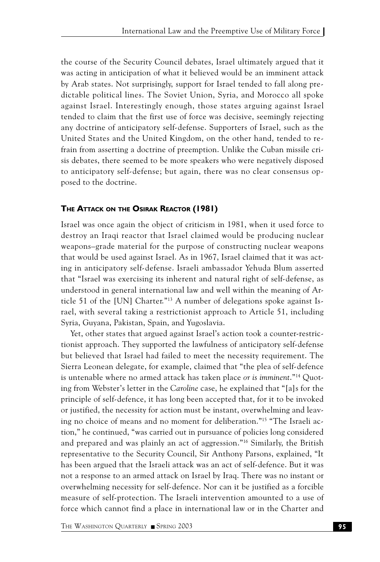the course of the Security Council debates, Israel ultimately argued that it was acting in anticipation of what it believed would be an imminent attack by Arab states. Not surprisingly, support for Israel tended to fall along predictable political lines. The Soviet Union, Syria, and Morocco all spoke against Israel. Interestingly enough, those states arguing against Israel tended to claim that the first use of force was decisive, seemingly rejecting any doctrine of anticipatory self-defense. Supporters of Israel, such as the United States and the United Kingdom, on the other hand, tended to refrain from asserting a doctrine of preemption. Unlike the Cuban missile crisis debates, there seemed to be more speakers who were negatively disposed to anticipatory self-defense; but again, there was no clear consensus opposed to the doctrine.

### **THE ATTACK ON THE OSIRAK REACTOR (1981)**

Israel was once again the object of criticism in 1981, when it used force to destroy an Iraqi reactor that Israel claimed would be producing nuclear weapons–grade material for the purpose of constructing nuclear weapons that would be used against Israel. As in 1967, Israel claimed that it was acting in anticipatory self-defense. Israeli ambassador Yehuda Blum asserted that "Israel was exercising its inherent and natural right of self-defense, as understood in general international law and well within the meaning of Article 51 of the [UN] Charter."13 A number of delegations spoke against Israel, with several taking a restrictionist approach to Article 51, including Syria, Guyana, Pakistan, Spain, and Yugoslavia.

Yet, other states that argued against Israel's action took a counter-restrictionist approach. They supported the lawfulness of anticipatory self-defense but believed that Israel had failed to meet the necessity requirement. The Sierra Leonean delegate, for example, claimed that "the plea of self-defence is untenable where no armed attack has taken place *or is imminent*."14 Quoting from Webster's letter in the *Caroline* case, he explained that "[a]s for the principle of self-defence, it has long been accepted that, for it to be invoked or justified, the necessity for action must be instant, overwhelming and leaving no choice of means and no moment for deliberation."15 "The Israeli action," he continued, "was carried out in pursuance of policies long considered and prepared and was plainly an act of aggression."16 Similarly, the British representative to the Security Council, Sir Anthony Parsons, explained, "It has been argued that the Israeli attack was an act of self-defence. But it was not a response to an armed attack on Israel by Iraq. There was no instant or overwhelming necessity for self-defence. Nor can it be justified as a forcible measure of self-protection. The Israeli intervention amounted to a use of force which cannot find a place in international law or in the Charter and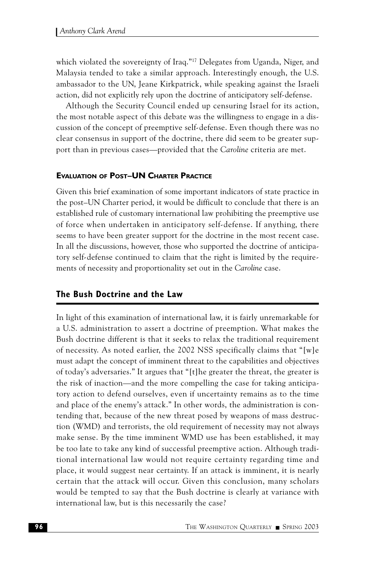which violated the sovereignty of Iraq."<sup>17</sup> Delegates from Uganda, Niger, and Malaysia tended to take a similar approach. Interestingly enough, the U.S. ambassador to the UN, Jeane Kirkpatrick, while speaking against the Israeli action, did not explicitly rely upon the doctrine of anticipatory self-defense.

Although the Security Council ended up censuring Israel for its action, the most notable aspect of this debate was the willingness to engage in a discussion of the concept of preemptive self-defense. Even though there was no clear consensus in support of the doctrine, there did seem to be greater support than in previous cases—provided that the *Caroline* criteria are met.

#### **EVALUATION OF POST–UN CHARTER PRACTICE**

Given this brief examination of some important indicators of state practice in the post–UN Charter period, it would be difficult to conclude that there is an established rule of customary international law prohibiting the preemptive use of force when undertaken in anticipatory self-defense. If anything, there seems to have been greater support for the doctrine in the most recent case. In all the discussions, however, those who supported the doctrine of anticipatory self-defense continued to claim that the right is limited by the requirements of necessity and proportionality set out in the *Caroline* case.

## **The Bush Doctrine and the Law**

In light of this examination of international law, it is fairly unremarkable for a U.S. administration to assert a doctrine of preemption. What makes the Bush doctrine different is that it seeks to relax the traditional requirement of necessity. As noted earlier, the 2002 NSS specifically claims that "[w]e must adapt the concept of imminent threat to the capabilities and objectives of today's adversaries." It argues that "[t]he greater the threat, the greater is the risk of inaction—and the more compelling the case for taking anticipatory action to defend ourselves, even if uncertainty remains as to the time and place of the enemy's attack." In other words, the administration is contending that, because of the new threat posed by weapons of mass destruction (WMD) and terrorists, the old requirement of necessity may not always make sense. By the time imminent WMD use has been established, it may be too late to take any kind of successful preemptive action. Although traditional international law would not require certainty regarding time and place, it would suggest near certainty. If an attack is imminent, it is nearly certain that the attack will occur. Given this conclusion, many scholars would be tempted to say that the Bush doctrine is clearly at variance with international law, but is this necessarily the case?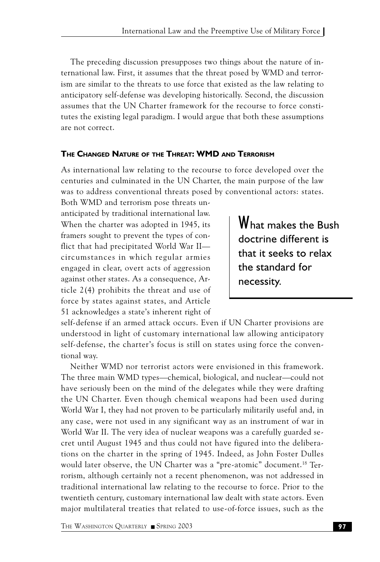The preceding discussion presupposes two things about the nature of international law. First, it assumes that the threat posed by WMD and terrorism are similar to the threats to use force that existed as the law relating to anticipatory self-defense was developing historically. Second, the discussion assumes that the UN Charter framework for the recourse to force constitutes the existing legal paradigm. I would argue that both these assumptions are not correct.

#### **THE CHANGED NATURE OF THE THREAT: WMD AND TERRORISM**

As international law relating to the recourse to force developed over the centuries and culminated in the UN Charter, the main purpose of the law was to address conventional threats posed by conventional actors: states.

Both WMD and terrorism pose threats unanticipated by traditional international law. When the charter was adopted in 1945, its framers sought to prevent the types of conflict that had precipitated World War II circumstances in which regular armies engaged in clear, overt acts of aggression against other states. As a consequence, Article 2(4) prohibits the threat and use of force by states against states, and Article 51 acknowledges a state's inherent right of

What makes the Bush doctrine different is that it seeks to relax the standard for necessity.

self-defense if an armed attack occurs. Even if UN Charter provisions are understood in light of customary international law allowing anticipatory self-defense, the charter's focus is still on states using force the conventional way.

Neither WMD nor terrorist actors were envisioned in this framework. The three main WMD types—chemical, biological, and nuclear—could not have seriously been on the mind of the delegates while they were drafting the UN Charter. Even though chemical weapons had been used during World War I, they had not proven to be particularly militarily useful and, in any case, were not used in any significant way as an instrument of war in World War II. The very idea of nuclear weapons was a carefully guarded secret until August 1945 and thus could not have figured into the deliberations on the charter in the spring of 1945. Indeed, as John Foster Dulles would later observe, the UN Charter was a "pre-atomic" document.18 Terrorism, although certainly not a recent phenomenon, was not addressed in traditional international law relating to the recourse to force. Prior to the twentieth century, customary international law dealt with state actors. Even major multilateral treaties that related to use-of-force issues, such as the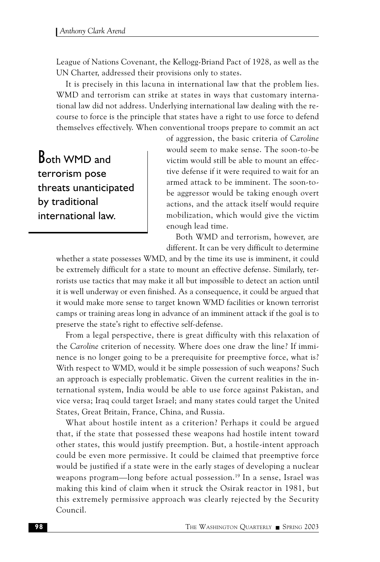League of Nations Covenant, the Kellogg-Briand Pact of 1928, as well as the UN Charter, addressed their provisions only to states.

It is precisely in this lacuna in international law that the problem lies. WMD and terrorism can strike at states in ways that customary international law did not address. Underlying international law dealing with the recourse to force is the principle that states have a right to use force to defend themselves effectively. When conventional troops prepare to commit an act

Both WMD and terrorism pose threats unanticipated by traditional international law.

of aggression, the basic criteria of *Caroline* would seem to make sense. The soon-to-be victim would still be able to mount an effective defense if it were required to wait for an armed attack to be imminent. The soon-tobe aggressor would be taking enough overt actions, and the attack itself would require mobilization, which would give the victim enough lead time.

Both WMD and terrorism, however, are different. It can be very difficult to determine

whether a state possesses WMD, and by the time its use is imminent, it could be extremely difficult for a state to mount an effective defense. Similarly, terrorists use tactics that may make it all but impossible to detect an action until it is well underway or even finished. As a consequence, it could be argued that it would make more sense to target known WMD facilities or known terrorist camps or training areas long in advance of an imminent attack if the goal is to preserve the state's right to effective self-defense.

From a legal perspective, there is great difficulty with this relaxation of the *Caroline* criterion of necessity. Where does one draw the line? If imminence is no longer going to be a prerequisite for preemptive force, what is? With respect to WMD, would it be simple possession of such weapons? Such an approach is especially problematic. Given the current realities in the international system, India would be able to use force against Pakistan, and vice versa; Iraq could target Israel; and many states could target the United States, Great Britain, France, China, and Russia.

What about hostile intent as a criterion? Perhaps it could be argued that, if the state that possessed these weapons had hostile intent toward other states, this would justify preemption. But, a hostile-intent approach could be even more permissive. It could be claimed that preemptive force would be justified if a state were in the early stages of developing a nuclear weapons program—long before actual possession.<sup>19</sup> In a sense, Israel was making this kind of claim when it struck the Osirak reactor in 1981, but this extremely permissive approach was clearly rejected by the Security Council.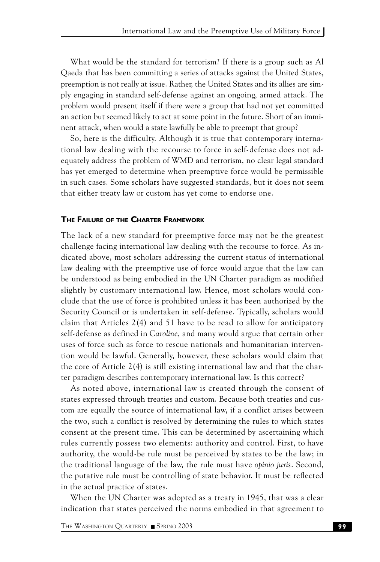What would be the standard for terrorism? If there is a group such as Al Qaeda that has been committing a series of attacks against the United States, preemption is not really at issue. Rather, the United States and its allies are simply engaging in standard self-defense against an ongoing, armed attack. The problem would present itself if there were a group that had not yet committed an action but seemed likely to act at some point in the future. Short of an imminent attack, when would a state lawfully be able to preempt that group?

So, here is the difficulty. Although it is true that contemporary international law dealing with the recourse to force in self-defense does not adequately address the problem of WMD and terrorism, no clear legal standard has yet emerged to determine when preemptive force would be permissible in such cases. Some scholars have suggested standards, but it does not seem that either treaty law or custom has yet come to endorse one.

#### **THE FAILURE OF THE CHARTER FRAMEWORK**

The lack of a new standard for preemptive force may not be the greatest challenge facing international law dealing with the recourse to force. As indicated above, most scholars addressing the current status of international law dealing with the preemptive use of force would argue that the law can be understood as being embodied in the UN Charter paradigm as modified slightly by customary international law. Hence, most scholars would conclude that the use of force is prohibited unless it has been authorized by the Security Council or is undertaken in self-defense. Typically, scholars would claim that Articles 2(4) and 51 have to be read to allow for anticipatory self-defense as defined in *Caroline*, and many would argue that certain other uses of force such as force to rescue nationals and humanitarian intervention would be lawful. Generally, however, these scholars would claim that the core of Article 2(4) is still existing international law and that the charter paradigm describes contemporary international law. Is this correct?

As noted above, international law is created through the consent of states expressed through treaties and custom. Because both treaties and custom are equally the source of international law, if a conflict arises between the two, such a conflict is resolved by determining the rules to which states consent at the present time. This can be determined by ascertaining which rules currently possess two elements: authority and control. First, to have authority, the would-be rule must be perceived by states to be the law; in the traditional language of the law, the rule must have *opinio juris*. Second, the putative rule must be controlling of state behavior. It must be reflected in the actual practice of states.

When the UN Charter was adopted as a treaty in 1945, that was a clear indication that states perceived the norms embodied in that agreement to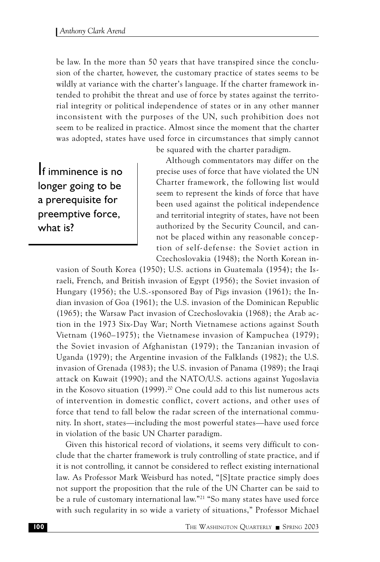be law. In the more than 50 years that have transpired since the conclusion of the charter, however, the customary practice of states seems to be wildly at variance with the charter's language. If the charter framework intended to prohibit the threat and use of force by states against the territorial integrity or political independence of states or in any other manner inconsistent with the purposes of the UN, such prohibition does not seem to be realized in practice. Almost since the moment that the charter was adopted, states have used force in circumstances that simply cannot

If imminence is no longer going to be a prerequisite for preemptive force, what is?

be squared with the charter paradigm.

Although commentators may differ on the precise uses of force that have violated the UN Charter framework, the following list would seem to represent the kinds of force that have been used against the political independence and territorial integrity of states, have not been authorized by the Security Council, and cannot be placed within any reasonable conception of self-defense: the Soviet action in Czechoslovakia (1948); the North Korean in-

vasion of South Korea (1950); U.S. actions in Guatemala (1954); the Israeli, French, and British invasion of Egypt (1956); the Soviet invasion of Hungary (1956); the U.S.-sponsored Bay of Pigs invasion (1961); the Indian invasion of Goa (1961); the U.S. invasion of the Dominican Republic (1965); the Warsaw Pact invasion of Czechoslovakia (1968); the Arab action in the 1973 Six-Day War; North Vietnamese actions against South Vietnam (1960–1975); the Vietnamese invasion of Kampuchea (1979); the Soviet invasion of Afghanistan (1979); the Tanzanian invasion of Uganda (1979); the Argentine invasion of the Falklands (1982); the U.S. invasion of Grenada (1983); the U.S. invasion of Panama (1989); the Iraqi attack on Kuwait (1990); and the NATO/U.S. actions against Yugoslavia in the Kosovo situation (1999).<sup>20</sup> One could add to this list numerous acts of intervention in domestic conflict, covert actions, and other uses of force that tend to fall below the radar screen of the international community. In short, states—including the most powerful states—have used force in violation of the basic UN Charter paradigm.

Given this historical record of violations, it seems very difficult to conclude that the charter framework is truly controlling of state practice, and if it is not controlling, it cannot be considered to reflect existing international law. As Professor Mark Weisburd has noted, "[S]tate practice simply does not support the proposition that the rule of the UN Charter can be said to be a rule of customary international law."21 "So many states have used force with such regularity in so wide a variety of situations," Professor Michael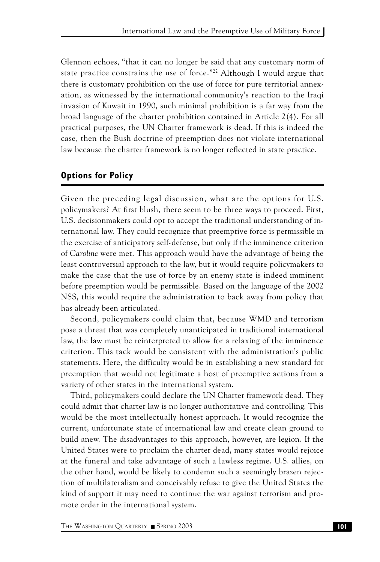Glennon echoes, "that it can no longer be said that any customary norm of state practice constrains the use of force."<sup>22</sup> Although I would argue that there is customary prohibition on the use of force for pure territorial annexation, as witnessed by the international community's reaction to the Iraqi invasion of Kuwait in 1990, such minimal prohibition is a far way from the broad language of the charter prohibition contained in Article 2(4). For all practical purposes, the UN Charter framework is dead. If this is indeed the case, then the Bush doctrine of preemption does not violate international law because the charter framework is no longer reflected in state practice.

# **Options for Policy**

Given the preceding legal discussion, what are the options for U.S. policymakers? At first blush, there seem to be three ways to proceed. First, U.S. decisionmakers could opt to accept the traditional understanding of international law. They could recognize that preemptive force is permissible in the exercise of anticipatory self-defense, but only if the imminence criterion of *Caroline* were met. This approach would have the advantage of being the least controversial approach to the law, but it would require policymakers to make the case that the use of force by an enemy state is indeed imminent before preemption would be permissible. Based on the language of the 2002 NSS, this would require the administration to back away from policy that has already been articulated.

Second, policymakers could claim that, because WMD and terrorism pose a threat that was completely unanticipated in traditional international law, the law must be reinterpreted to allow for a relaxing of the imminence criterion. This tack would be consistent with the administration's public statements. Here, the difficulty would be in establishing a new standard for preemption that would not legitimate a host of preemptive actions from a variety of other states in the international system.

Third, policymakers could declare the UN Charter framework dead. They could admit that charter law is no longer authoritative and controlling. This would be the most intellectually honest approach. It would recognize the current, unfortunate state of international law and create clean ground to build anew. The disadvantages to this approach, however, are legion. If the United States were to proclaim the charter dead, many states would rejoice at the funeral and take advantage of such a lawless regime. U.S. allies, on the other hand, would be likely to condemn such a seemingly brazen rejection of multilateralism and conceivably refuse to give the United States the kind of support it may need to continue the war against terrorism and promote order in the international system.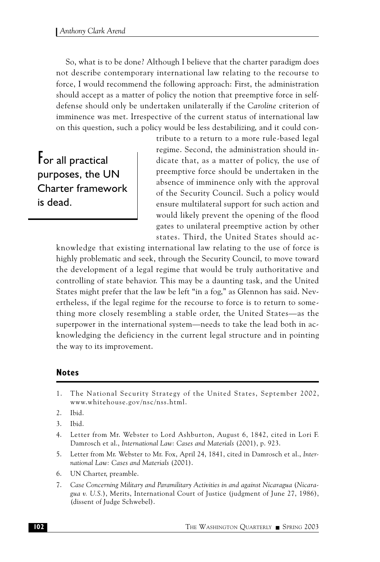So, what is to be done? Although I believe that the charter paradigm does not describe contemporary international law relating to the recourse to force, I would recommend the following approach: First, the administration should accept as a matter of policy the notion that preemptive force in selfdefense should only be undertaken unilaterally if the *Caroline* criterion of imminence was met. Irrespective of the current status of international law on this question, such a policy would be less destabilizing, and it could con-

For all practical purposes, the UN Charter framework is dead.

tribute to a return to a more rule-based legal regime. Second, the administration should indicate that, as a matter of policy, the use of preemptive force should be undertaken in the absence of imminence only with the approval of the Security Council. Such a policy would ensure multilateral support for such action and would likely prevent the opening of the flood gates to unilateral preemptive action by other states. Third, the United States should ac-

knowledge that existing international law relating to the use of force is highly problematic and seek, through the Security Council, to move toward the development of a legal regime that would be truly authoritative and controlling of state behavior. This may be a daunting task, and the United States might prefer that the law be left "in a fog," as Glennon has said. Nevertheless, if the legal regime for the recourse to force is to return to something more closely resembling a stable order, the United States—as the superpower in the international system—needs to take the lead both in acknowledging the deficiency in the current legal structure and in pointing the way to its improvement.

#### **Notes**

- 1. The National Security Strategy of the United States, September 2002, www.whitehouse.gov/nsc/nss.html.
- 2. Ibid.
- 3. Ibid.
- 4. Letter from Mr. Webster to Lord Ashburton, August 6, 1842, cited in Lori F. Damrosch et al., *International Law: Cases and Materials* (2001), p. 923.
- 5. Letter from Mr. Webster to Mr. Fox, April 24, 1841, cited in Damrosch et al., *International Law: Cases and Materials* (2001).
- 6. UN Charter, preamble.
- 7. *Case Concerning Military and Paramilitary Activities in and against Nicaragua* (*Nicaragua v. U.S.*), Merits, International Court of Justice (judgment of June 27, 1986), (dissent of Judge Schwebel).